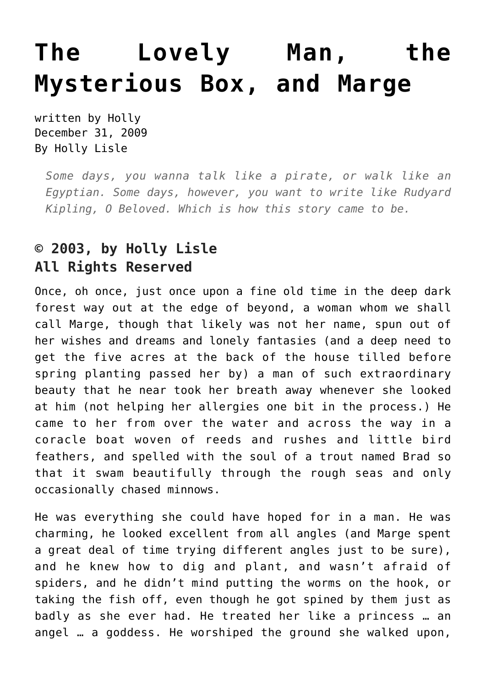## **[The Lovely Man, the](https://hollylisle.com/the-lovely-man-the-mysterious-box-and-marge/) [Mysterious Box, and Marge](https://hollylisle.com/the-lovely-man-the-mysterious-box-and-marge/)**

written by Holly December 31, 2009 [By Holly Lisle](https://hollylisle.com)

*Some days, you wanna talk like a pirate, or walk like an Egyptian. Some days, however, you want to write like Rudyard Kipling, O Beloved. Which is how this story came to be.*

## **© 2003, by Holly Lisle All Rights Reserved**

Once, oh once, just once upon a fine old time in the deep dark forest way out at the edge of beyond, a woman whom we shall call Marge, though that likely was not her name, spun out of her wishes and dreams and lonely fantasies (and a deep need to get the five acres at the back of the house tilled before spring planting passed her by) a man of such extraordinary beauty that he near took her breath away whenever she looked at him (not helping her allergies one bit in the process.) He came to her from over the water and across the way in a coracle boat woven of reeds and rushes and little bird feathers, and spelled with the soul of a trout named Brad so that it swam beautifully through the rough seas and only occasionally chased minnows.

He was everything she could have hoped for in a man. He was charming, he looked excellent from all angles (and Marge spent a great deal of time trying different angles just to be sure), and he knew how to dig and plant, and wasn't afraid of spiders, and he didn't mind putting the worms on the hook, or taking the fish off, even though he got spined by them just as badly as she ever had. He treated her like a princess … an angel … a goddess. He worshiped the ground she walked upon,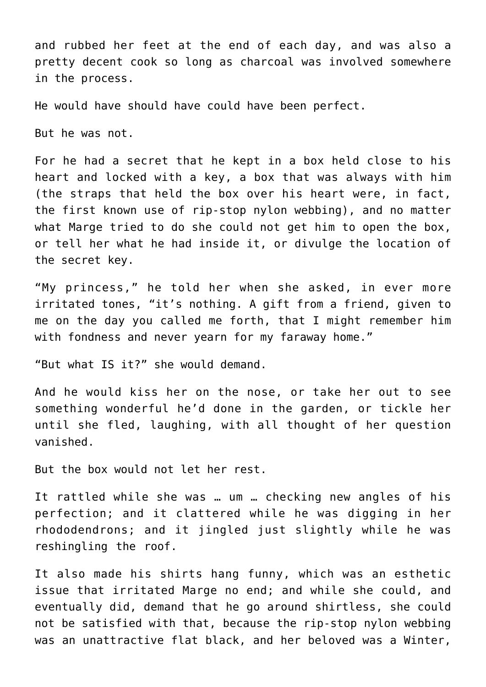and rubbed her feet at the end of each day, and was also a pretty decent cook so long as charcoal was involved somewhere in the process.

He would have should have could have been perfect.

But he was not.

For he had a secret that he kept in a box held close to his heart and locked with a key, a box that was always with him (the straps that held the box over his heart were, in fact, the first known use of rip-stop nylon webbing), and no matter what Marge tried to do she could not get him to open the box, or tell her what he had inside it, or divulge the location of the secret key.

"My princess," he told her when she asked, in ever more irritated tones, "it's nothing. A gift from a friend, given to me on the day you called me forth, that I might remember him with fondness and never yearn for my faraway home."

"But what IS it?" she would demand.

And he would kiss her on the nose, or take her out to see something wonderful he'd done in the garden, or tickle her until she fled, laughing, with all thought of her question vanished.

But the box would not let her rest.

It rattled while she was … um … checking new angles of his perfection; and it clattered while he was digging in her rhododendrons; and it jingled just slightly while he was reshingling the roof.

It also made his shirts hang funny, which was an esthetic issue that irritated Marge no end; and while she could, and eventually did, demand that he go around shirtless, she could not be satisfied with that, because the rip-stop nylon webbing was an unattractive flat black, and her beloved was a Winter,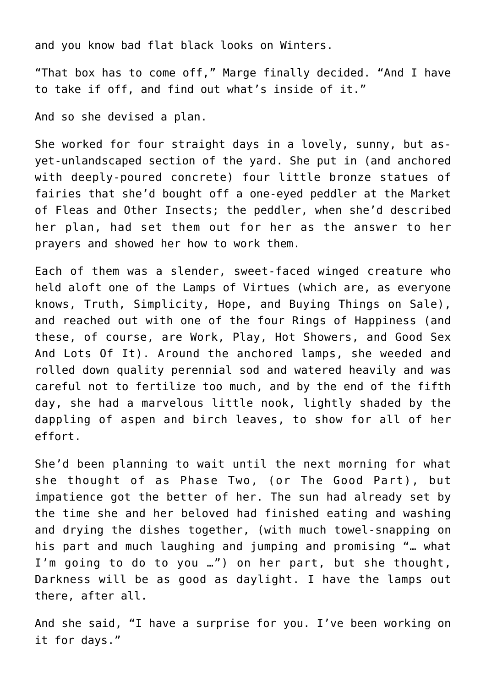and you know bad flat black looks on Winters.

"That box has to come off," Marge finally decided. "And I have to take if off, and find out what's inside of it."

And so she devised a plan.

She worked for four straight days in a lovely, sunny, but asyet-unlandscaped section of the yard. She put in (and anchored with deeply-poured concrete) four little bronze statues of fairies that she'd bought off a one-eyed peddler at the Market of Fleas and Other Insects; the peddler, when she'd described her plan, had set them out for her as the answer to her prayers and showed her how to work them.

Each of them was a slender, sweet-faced winged creature who held aloft one of the Lamps of Virtues (which are, as everyone knows, Truth, Simplicity, Hope, and Buying Things on Sale), and reached out with one of the four Rings of Happiness (and these, of course, are Work, Play, Hot Showers, and Good Sex And Lots Of It). Around the anchored lamps, she weeded and rolled down quality perennial sod and watered heavily and was careful not to fertilize too much, and by the end of the fifth day, she had a marvelous little nook, lightly shaded by the dappling of aspen and birch leaves, to show for all of her effort.

She'd been planning to wait until the next morning for what she thought of as Phase Two, (or The Good Part), but impatience got the better of her. The sun had already set by the time she and her beloved had finished eating and washing and drying the dishes together, (with much towel-snapping on his part and much laughing and jumping and promising "… what I'm going to do to you …") on her part, but she thought, Darkness will be as good as daylight. I have the lamps out there, after all.

And she said, "I have a surprise for you. I've been working on it for days."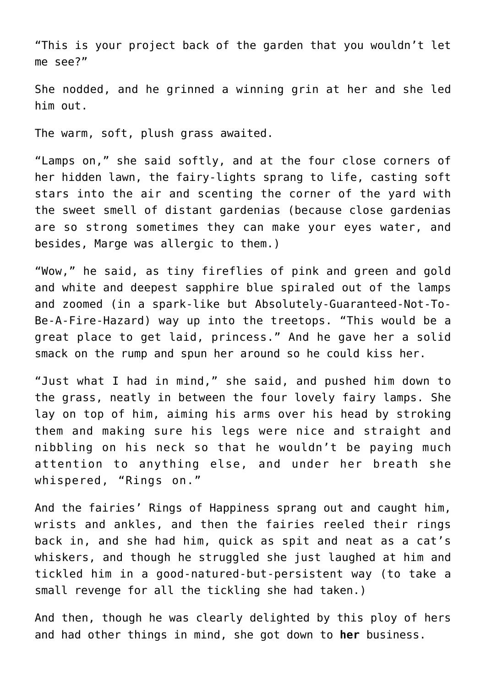"This is your project back of the garden that you wouldn't let me see?"

She nodded, and he grinned a winning grin at her and she led him out.

The warm, soft, plush grass awaited.

"Lamps on," she said softly, and at the four close corners of her hidden lawn, the fairy-lights sprang to life, casting soft stars into the air and scenting the corner of the yard with the sweet smell of distant gardenias (because close gardenias are so strong sometimes they can make your eyes water, and besides, Marge was allergic to them.)

"Wow," he said, as tiny fireflies of pink and green and gold and white and deepest sapphire blue spiraled out of the lamps and zoomed (in a spark-like but Absolutely-Guaranteed-Not-To-Be-A-Fire-Hazard) way up into the treetops. "This would be a great place to get laid, princess." And he gave her a solid smack on the rump and spun her around so he could kiss her.

"Just what I had in mind," she said, and pushed him down to the grass, neatly in between the four lovely fairy lamps. She lay on top of him, aiming his arms over his head by stroking them and making sure his legs were nice and straight and nibbling on his neck so that he wouldn't be paying much attention to anything else, and under her breath she whispered, "Rings on."

And the fairies' Rings of Happiness sprang out and caught him, wrists and ankles, and then the fairies reeled their rings back in, and she had him, quick as spit and neat as a cat's whiskers, and though he struggled she just laughed at him and tickled him in a good-natured-but-persistent way (to take a small revenge for all the tickling she had taken.)

And then, though he was clearly delighted by this ploy of hers and had other things in mind, she got down to **her** business.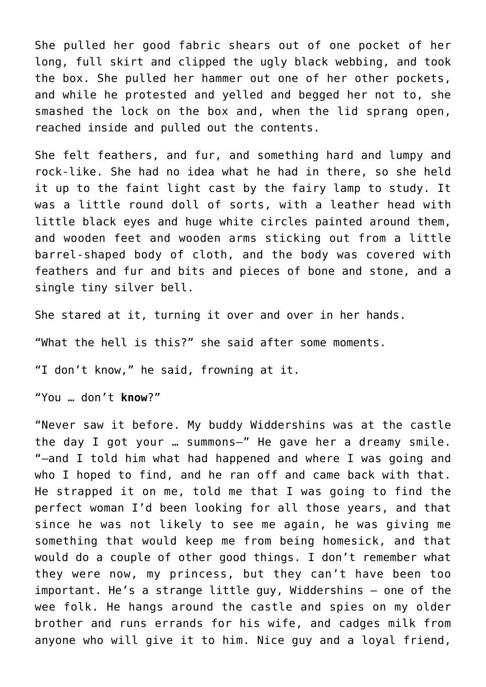She pulled her good fabric shears out of one pocket of her long, full skirt and clipped the ugly black webbing, and took the box. She pulled her hammer out one of her other pockets, and while he protested and yelled and begged her not to, she smashed the lock on the box and, when the lid sprang open, reached inside and pulled out the contents.

She felt feathers, and fur, and something hard and lumpy and rock-like. She had no idea what he had in there, so she held it up to the faint light cast by the fairy lamp to study. It was a little round doll of sorts, with a leather head with little black eyes and huge white circles painted around them, and wooden feet and wooden arms sticking out from a little barrel-shaped body of cloth, and the body was covered with feathers and fur and bits and pieces of bone and stone, and a single tiny silver bell.

She stared at it, turning it over and over in her hands.

"What the hell is this?" she said after some moments.

"I don't know," he said, frowning at it.

"You … don't **know**?"

"Never saw it before. My buddy Widdershins was at the castle the day I got your … summons–" He gave her a dreamy smile. "–and I told him what had happened and where I was going and who I hoped to find, and he ran off and came back with that. He strapped it on me, told me that I was going to find the perfect woman I'd been looking for all those years, and that since he was not likely to see me again, he was giving me something that would keep me from being homesick, and that would do a couple of other good things. I don't remember what they were now, my princess, but they can't have been too important. He's a strange little guy, Widdershins — one of the wee folk. He hangs around the castle and spies on my older brother and runs errands for his wife, and cadges milk from anyone who will give it to him. Nice guy and a loyal friend,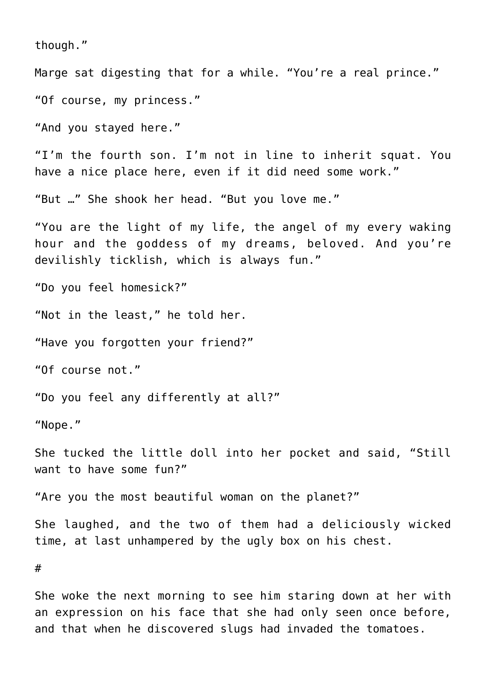though."

Marge sat digesting that for a while. "You're a real prince."

"Of course, my princess."

"And you stayed here."

"I'm the fourth son. I'm not in line to inherit squat. You have a nice place here, even if it did need some work."

"But …" She shook her head. "But you love me."

"You are the light of my life, the angel of my every waking hour and the goddess of my dreams, beloved. And you're devilishly ticklish, which is always fun."

"Do you feel homesick?"

"Not in the least," he told her.

"Have you forgotten your friend?"

"Of course not."

"Do you feel any differently at all?"

"Nope."

She tucked the little doll into her pocket and said, "Still want to have some fun?"

"Are you the most beautiful woman on the planet?"

She laughed, and the two of them had a deliciously wicked time, at last unhampered by the ugly box on his chest.

#

She woke the next morning to see him staring down at her with an expression on his face that she had only seen once before, and that when he discovered slugs had invaded the tomatoes.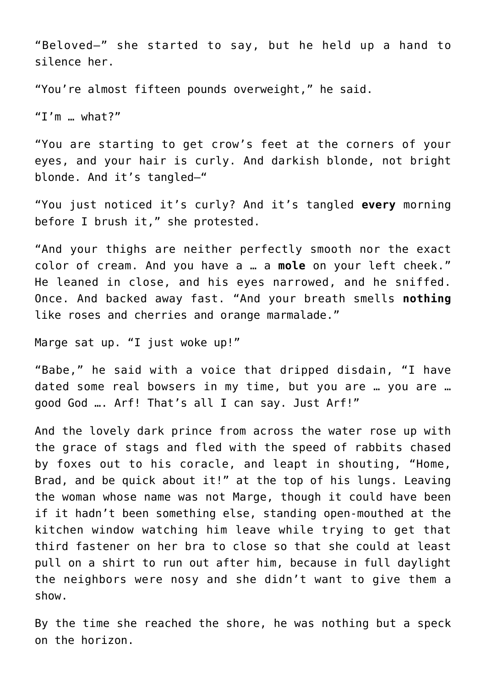"Beloved–" she started to say, but he held up a hand to silence her.

"You're almost fifteen pounds overweight," he said.

"I'm … what?"

"You are starting to get crow's feet at the corners of your eyes, and your hair is curly. And darkish blonde, not bright blonde. And it's tangled–"

"You just noticed it's curly? And it's tangled **every** morning before I brush it," she protested.

"And your thighs are neither perfectly smooth nor the exact color of cream. And you have a … a **mole** on your left cheek." He leaned in close, and his eyes narrowed, and he sniffed. Once. And backed away fast. "And your breath smells **nothing** like roses and cherries and orange marmalade."

Marge sat up. "I just woke up!"

"Babe," he said with a voice that dripped disdain, "I have dated some real bowsers in my time, but you are … you are … good God …. Arf! That's all I can say. Just Arf!"

And the lovely dark prince from across the water rose up with the grace of stags and fled with the speed of rabbits chased by foxes out to his coracle, and leapt in shouting, "Home, Brad, and be quick about it!" at the top of his lungs. Leaving the woman whose name was not Marge, though it could have been if it hadn't been something else, standing open-mouthed at the kitchen window watching him leave while trying to get that third fastener on her bra to close so that she could at least pull on a shirt to run out after him, because in full daylight the neighbors were nosy and she didn't want to give them a show.

By the time she reached the shore, he was nothing but a speck on the horizon.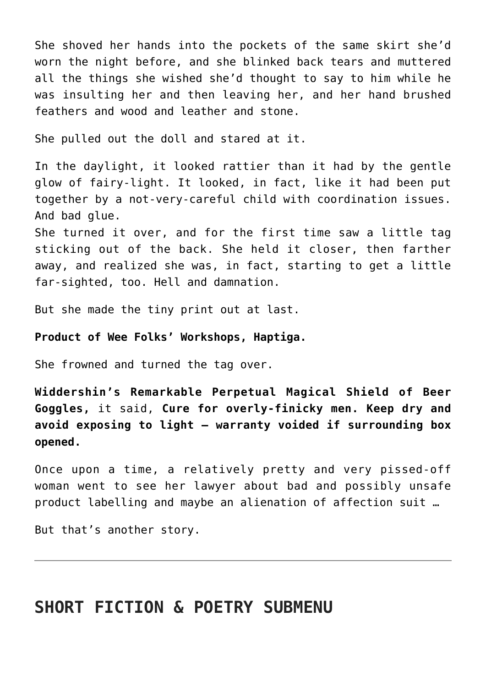She shoved her hands into the pockets of the same skirt she'd worn the night before, and she blinked back tears and muttered all the things she wished she'd thought to say to him while he was insulting her and then leaving her, and her hand brushed feathers and wood and leather and stone.

She pulled out the doll and stared at it.

In the daylight, it looked rattier than it had by the gentle glow of fairy-light. It looked, in fact, like it had been put together by a not-very-careful child with coordination issues. And bad glue.

She turned it over, and for the first time saw a little tag sticking out of the back. She held it closer, then farther away, and realized she was, in fact, starting to get a little far-sighted, too. Hell and damnation.

But she made the tiny print out at last.

## **Product of Wee Folks' Workshops, Haptiga.**

She frowned and turned the tag over.

**Widdershin's Remarkable Perpetual Magical Shield of Beer Goggles,** it said, **Cure for overly-finicky men. Keep dry and avoid exposing to light — warranty voided if surrounding box opened.**

Once upon a time, a relatively pretty and very pissed-off woman went to see her lawyer about bad and possibly unsafe product labelling and maybe an alienation of affection suit …

But that's another story.

## **SHORT FICTION & POETRY SUBMENU**